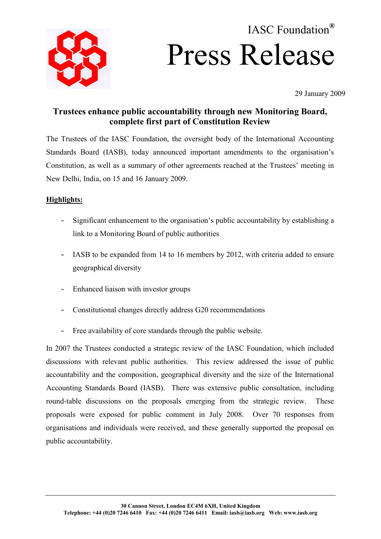

# IASC Foundation**®** Press Release

29 January 2009

# **Trustees enhance public accountability through new Monitoring Board, complete first part of Constitution Review**

The Trustees of the IASC Foundation, the oversight body of the International Accounting Standards Board (IASB), today announced important amendments to the organisation's Constitution, as well as a summary of other agreements reached at the Trustees' meeting in New Delhi, India, on 15 and 16 January 2009.

# **Highlights:**

- Significant enhancement to the organisation's public accountability by establishing a link to a Monitoring Board of public authorities
- IASB to be expanded from 14 to 16 members by 2012, with criteria added to ensure geographical diversity
- Enhanced liaison with investor groups
- Constitutional changes directly address G20 recommendations
- Free availability of core standards through the public website.

In 2007 the Trustees conducted a strategic review of the IASC Foundation, which included discussions with relevant public authorities. This review addressed the issue of public accountability and the composition, geographical diversity and the size of the International Accounting Standards Board (IASB). There was extensive public consultation, including round-table discussions on the proposals emerging from the strategic review. These proposals were exposed for public comment in July 2008. Over 70 responses from organisations and individuals were received, and these generally supported the proposal on public accountability.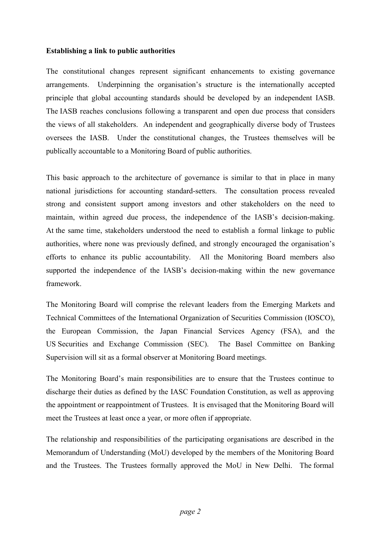## **Establishing a link to public authorities**

The constitutional changes represent significant enhancements to existing governance arrangements. Underpinning the organisation's structure is the internationally accepted principle that global accounting standards should be developed by an independent IASB. The IASB reaches conclusions following a transparent and open due process that considers the views of all stakeholders. An independent and geographically diverse body of Trustees oversees the IASB. Under the constitutional changes, the Trustees themselves will be publically accountable to a Monitoring Board of public authorities.

This basic approach to the architecture of governance is similar to that in place in many national jurisdictions for accounting standard-setters. The consultation process revealed strong and consistent support among investors and other stakeholders on the need to maintain, within agreed due process, the independence of the IASB's decision-making. At the same time, stakeholders understood the need to establish a formal linkage to public authorities, where none was previously defined, and strongly encouraged the organisation's efforts to enhance its public accountability. All the Monitoring Board members also supported the independence of the IASB's decision-making within the new governance framework.

The Monitoring Board will comprise the relevant leaders from the Emerging Markets and Technical Committees of the International Organization of Securities Commission (IOSCO), the European Commission, the Japan Financial Services Agency (FSA), and the US Securities and Exchange Commission (SEC). The Basel Committee on Banking Supervision will sit as a formal observer at Monitoring Board meetings.

The Monitoring Board's main responsibilities are to ensure that the Trustees continue to discharge their duties as defined by the IASC Foundation Constitution, as well as approving the appointment or reappointment of Trustees. It is envisaged that the Monitoring Board will meet the Trustees at least once a year, or more often if appropriate.

The relationship and responsibilities of the participating organisations are described in the Memorandum of Understanding (MoU) developed by the members of the Monitoring Board and the Trustees. The Trustees formally approved the MoU in New Delhi. The formal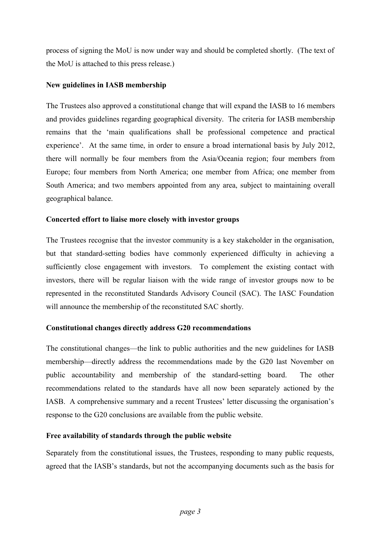process of signing the MoU is now under way and should be completed shortly. (The text of the MoU is attached to this press release.)

# **New guidelines in IASB membership**

The Trustees also approved a constitutional change that will expand the IASB to 16 members and provides guidelines regarding geographical diversity. The criteria for IASB membership remains that the 'main qualifications shall be professional competence and practical experience'. At the same time, in order to ensure a broad international basis by July 2012, there will normally be four members from the Asia/Oceania region; four members from Europe; four members from North America; one member from Africa; one member from South America; and two members appointed from any area, subject to maintaining overall geographical balance.

# **Concerted effort to liaise more closely with investor groups**

The Trustees recognise that the investor community is a key stakeholder in the organisation, but that standard-setting bodies have commonly experienced difficulty in achieving a sufficiently close engagement with investors. To complement the existing contact with investors, there will be regular liaison with the wide range of investor groups now to be represented in the reconstituted Standards Advisory Council (SAC). The IASC Foundation will announce the membership of the reconstituted SAC shortly.

# **Constitutional changes directly address G20 recommendations**

The constitutional changes—the link to public authorities and the new guidelines for IASB membership—directly address the recommendations made by the G20 last November on public accountability and membership of the standard-setting board. The other recommendations related to the standards have all now been separately actioned by the IASB. A comprehensive summary and a recent Trustees' letter discussing the organisation's response to the G20 conclusions are available from the public website.

# **Free availability of standards through the public website**

Separately from the constitutional issues, the Trustees, responding to many public requests, agreed that the IASB's standards, but not the accompanying documents such as the basis for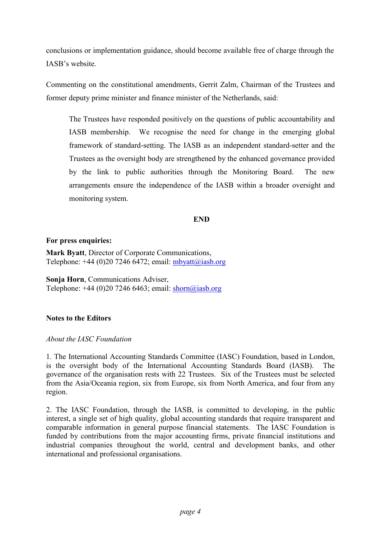conclusions or implementation guidance, should become available free of charge through the IASB's website.

Commenting on the constitutional amendments, Gerrit Zalm, Chairman of the Trustees and former deputy prime minister and finance minister of the Netherlands, said:

The Trustees have responded positively on the questions of public accountability and IASB membership. We recognise the need for change in the emerging global framework of standard-setting. The IASB as an independent standard-setter and the Trustees as the oversight body are strengthened by the enhanced governance provided by the link to public authorities through the Monitoring Board. The new arrangements ensure the independence of the IASB within a broader oversight and monitoring system.

# **END**

## **For press enquiries:**

**Mark Byatt**, Director of Corporate Communications, Telephone:  $+44$  (0)20 7246 6472; email:  $m$ byatt $(a)$ iasb.org

**Sonja Horn**, Communications Adviser, Telephone:  $+44$  (0)20 7246 6463; email: shorn@iasb.org

# **Notes to the Editors**

## *About the IASC Foundation*

1. The International Accounting Standards Committee (IASC) Foundation, based in London, is the oversight body of the International Accounting Standards Board (IASB). The governance of the organisation rests with 22 Trustees. Six of the Trustees must be selected from the Asia/Oceania region, six from Europe, six from North America, and four from any region.

2. The IASC Foundation, through the IASB, is committed to developing, in the public interest, a single set of high quality, global accounting standards that require transparent and comparable information in general purpose financial statements. The IASC Foundation is funded by contributions from the major accounting firms, private financial institutions and industrial companies throughout the world, central and development banks, and other international and professional organisations.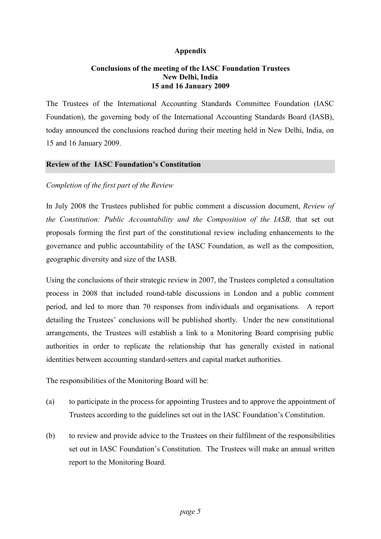# **Appendix**

## **Conclusions of the meeting of the IASC Foundation Trustees New Delhi, India 15 and 16 January 2009**

The Trustees of the International Accounting Standards Committee Foundation (IASC Foundation), the governing body of the International Accounting Standards Board (IASB), today announced the conclusions reached during their meeting held in New Delhi, India, on 15 and 16 January 2009.

## **Review of the IASC Foundation's Constitution**

## *Completion of the first part of the Review*

In July 2008 the Trustees published for public comment a discussion document, *Review of the Constitution: Public Accountability and the Composition of the IASB,* that set out proposals forming the first part of the constitutional review including enhancements to the governance and public accountability of the IASC Foundation, as well as the composition, geographic diversity and size of the IASB.

Using the conclusions of their strategic review in 2007, the Trustees completed a consultation process in 2008 that included round-table discussions in London and a public comment period, and led to more than 70 responses from individuals and organisations.A report detailing the Trustees' conclusions will be published shortly. Under the new constitutional arrangements, the Trustees will establish a link to a Monitoring Board comprising public authorities in order to replicate the relationship that has generally existed in national identities between accounting standard-setters and capital market authorities.

The responsibilities of the Monitoring Board will be:

- (a) to participate in the process for appointing Trustees and to approve the appointment of Trustees according to the guidelines set out in the IASC Foundation's Constitution.
- (b) to review and provide advice to the Trustees on their fulfilment of the responsibilities set out in IASC Foundation's Constitution. The Trustees will make an annual written report to the Monitoring Board.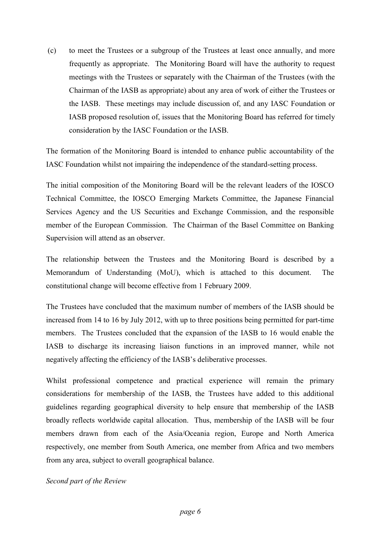(c) to meet the Trustees or a subgroup of the Trustees at least once annually, and more frequently as appropriate. The Monitoring Board will have the authority to request meetings with the Trustees or separately with the Chairman of the Trustees (with the Chairman of the IASB as appropriate) about any area of work of either the Trustees or the IASB. These meetings may include discussion of, and any IASC Foundation or IASB proposed resolution of, issues that the Monitoring Board has referred for timely consideration by the IASC Foundation or the IASB.

The formation of the Monitoring Board is intended to enhance public accountability of the IASC Foundation whilst not impairing the independence of the standard-setting process.

The initial composition of the Monitoring Board will be the relevant leaders of the IOSCO Technical Committee, the IOSCO Emerging Markets Committee, the Japanese Financial Services Agency and the US Securities and Exchange Commission, and the responsible member of the European Commission. The Chairman of the Basel Committee on Banking Supervision will attend as an observer.

The relationship between the Trustees and the Monitoring Board is described by a Memorandum of Understanding (MoU), which is attached to this document. The constitutional change will become effective from 1 February 2009.

The Trustees have concluded that the maximum number of members of the IASB should be increased from 14 to 16 by July 2012, with up to three positions being permitted for part-time members. The Trustees concluded that the expansion of the IASB to 16 would enable the IASB to discharge its increasing liaison functions in an improved manner, while not negatively affecting the efficiency of the IASB's deliberative processes.

Whilst professional competence and practical experience will remain the primary considerations for membership of the IASB, the Trustees have added to this additional guidelines regarding geographical diversity to help ensure that membership of the IASB broadly reflects worldwide capital allocation. Thus, membership of the IASB will be four members drawn from each of the Asia/Oceania region, Europe and North America respectively, one member from South America, one member from Africa and two members from any area, subject to overall geographical balance.

*Second part of the Review*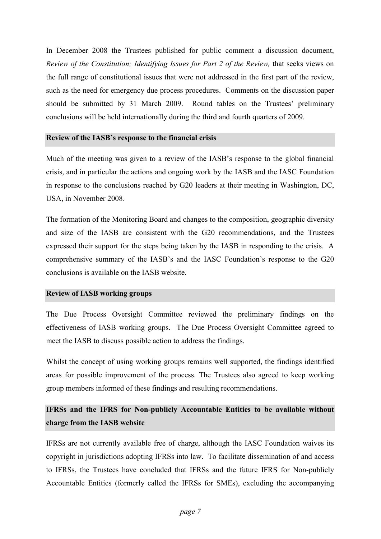In December 2008 the Trustees published for public comment a discussion document, *Review of the Constitution; Identifying Issues for Part 2 of the Review, that seeks views on* the full range of constitutional issues that were not addressed in the first part of the review, such as the need for emergency due process procedures. Comments on the discussion paper should be submitted by 31 March 2009. Round tables on the Trustees' preliminary conclusions will be held internationally during the third and fourth quarters of 2009.

## **Review of the IASB's response to the financial crisis**

Much of the meeting was given to a review of the IASB's response to the global financial crisis, and in particular the actions and ongoing work by the IASB and the IASC Foundation in response to the conclusions reached by G20 leaders at their meeting in Washington, DC, USA, in November 2008.

The formation of the Monitoring Board and changes to the composition, geographic diversity and size of the IASB are consistent with the G20 recommendations, and the Trustees expressed their support for the steps being taken by the IASB in responding to the crisis. A comprehensive summary of the IASB's and the IASC Foundation's response to the G20 conclusions is available on the IASB website.

## **Review of IASB working groups**

The Due Process Oversight Committee reviewed the preliminary findings on the effectiveness of IASB working groups. The Due Process Oversight Committee agreed to meet the IASB to discuss possible action to address the findings.

Whilst the concept of using working groups remains well supported, the findings identified areas for possible improvement of the process. The Trustees also agreed to keep working group members informed of these findings and resulting recommendations.

# **IFRSs and the IFRS for Non-publicly Accountable Entities to be available without charge from the IASB website**

IFRSs are not currently available free of charge, although the IASC Foundation waives its copyright in jurisdictions adopting IFRSs into law. To facilitate dissemination of and access to IFRSs, the Trustees have concluded that IFRSs and the future IFRS for Non-publicly Accountable Entities (formerly called the IFRSs for SMEs), excluding the accompanying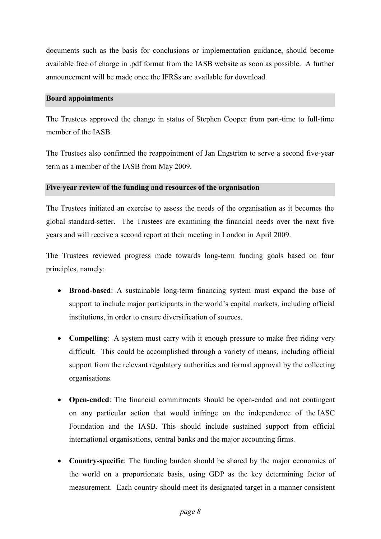documents such as the basis for conclusions or implementation guidance, should become available free of charge in .pdf format from the IASB website as soon as possible. A further announcement will be made once the IFRSs are available for download.

## **Board appointments**

The Trustees approved the change in status of Stephen Cooper from part-time to full-time member of the IASB.

The Trustees also confirmed the reappointment of Jan Engström to serve a second five-year term as a member of the IASB from May 2009.

## **Five-year review of the funding and resources of the organisation**

The Trustees initiated an exercise to assess the needs of the organisation as it becomes the global standard-setter. The Trustees are examining the financial needs over the next five years and will receive a second report at their meeting in London in April 2009.

The Trustees reviewed progress made towards long-term funding goals based on four principles, namely:

- **Broad-based**: A sustainable long-term financing system must expand the base of support to include major participants in the world's capital markets, including official institutions, in order to ensure diversification of sources.
- **Compelling**: A system must carry with it enough pressure to make free riding very difficult. This could be accomplished through a variety of means, including official support from the relevant regulatory authorities and formal approval by the collecting organisations.
- **Open-ended**: The financial commitments should be open-ended and not contingent on any particular action that would infringe on the independence of the IASC Foundation and the IASB. This should include sustained support from official international organisations, central banks and the major accounting firms.
- **Country-specific**: The funding burden should be shared by the major economies of the world on a proportionate basis, using GDP as the key determining factor of measurement. Each country should meet its designated target in a manner consistent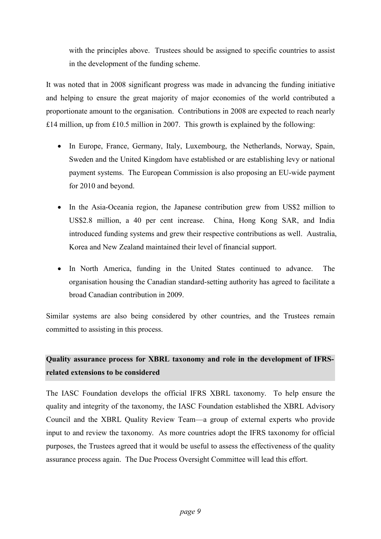with the principles above. Trustees should be assigned to specific countries to assist in the development of the funding scheme.

It was noted that in 2008 significant progress was made in advancing the funding initiative and helping to ensure the great majority of major economies of the world contributed a proportionate amount to the organisation. Contributions in 2008 are expected to reach nearly £14 million, up from £10.5 million in 2007. This growth is explained by the following:

- In Europe, France, Germany, Italy, Luxembourg, the Netherlands, Norway, Spain, Sweden and the United Kingdom have established or are establishing levy or national payment systems. The European Commission is also proposing an EU-wide payment for 2010 and beyond.
- In the Asia-Oceania region, the Japanese contribution grew from US\$2 million to US\$2.8 million, a 40 per cent increase. China, Hong Kong SAR, and India introduced funding systems and grew their respective contributions as well. Australia, Korea and New Zealand maintained their level of financial support.
- In North America, funding in the United States continued to advance. The organisation housing the Canadian standard-setting authority has agreed to facilitate a broad Canadian contribution in 2009.

Similar systems are also being considered by other countries, and the Trustees remain committed to assisting in this process.

# **Quality assurance process for XBRL taxonomy and role in the development of IFRSrelated extensions to be considered**

The IASC Foundation develops the official IFRS XBRL taxonomy. To help ensure the quality and integrity of the taxonomy, the IASC Foundation established the XBRL Advisory Council and the XBRL Quality Review Team—a group of external experts who provide input to and review the taxonomy. As more countries adopt the IFRS taxonomy for official purposes, the Trustees agreed that it would be useful to assess the effectiveness of the quality assurance process again. The Due Process Oversight Committee will lead this effort.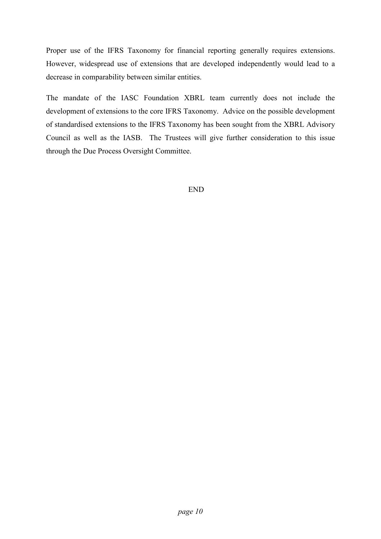Proper use of the IFRS Taxonomy for financial reporting generally requires extensions. However, widespread use of extensions that are developed independently would lead to a decrease in comparability between similar entities.

The mandate of the IASC Foundation XBRL team currently does not include the development of extensions to the core IFRS Taxonomy. Advice on the possible development of standardised extensions to the IFRS Taxonomy has been sought from the XBRL Advisory Council as well as the IASB. The Trustees will give further consideration to this issue through the Due Process Oversight Committee.

END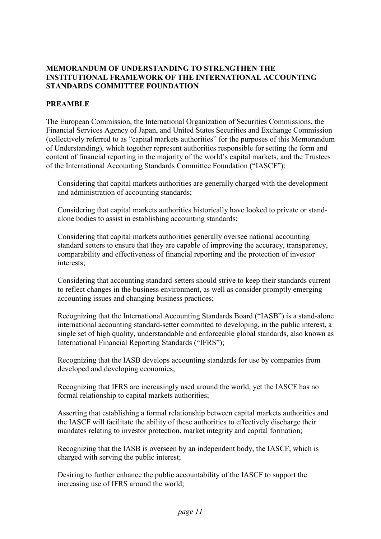## **MEMORANDUM OF UNDERSTANDING TO STRENGTHEN THE INSTITUTIONAL FRAMEWORK OF THE INTERNATIONAL ACCOUNTING STANDARDS COMMITTEE FOUNDATION**

# **PREAMBLE**

The European Commission, the International Organization of Securities Commissions, the Financial Services Agency of Japan, and United States Securities and Exchange Commission (collectively referred to as "capital markets authorities" for the purposes of this Memorandum of Understanding), which together represent authorities responsible for setting the form and content of financial reporting in the majority of the world's capital markets, and the Trustees of the International Accounting Standards Committee Foundation ("IASCF"):

Considering that capital markets authorities are generally charged with the development and administration of accounting standards;

Considering that capital markets authorities historically have looked to private or standalone bodies to assist in establishing accounting standards;

Considering that capital markets authorities generally oversee national accounting standard setters to ensure that they are capable of improving the accuracy, transparency, comparability and effectiveness of financial reporting and the protection of investor interests;

Considering that accounting standard-setters should strive to keep their standards current to reflect changes in the business environment, as well as consider promptly emerging accounting issues and changing business practices;

Recognizing that the International Accounting Standards Board ("IASB") is a stand-alone international accounting standard-setter committed to developing, in the public interest, a single set of high quality, understandable and enforceable global standards, also known as International Financial Reporting Standards ("IFRS");

Recognizing that the IASB develops accounting standards for use by companies from developed and developing economies;

Recognizing that IFRS are increasingly used around the world, yet the IASCF has no formal relationship to capital markets authorities;

Asserting that establishing a formal relationship between capital markets authorities and the IASCF will facilitate the ability of these authorities to effectively discharge their mandates relating to investor protection, market integrity and capital formation;

Recognizing that the IASB is overseen by an independent body, the IASCF, which is charged with serving the public interest;

Desiring to further enhance the public accountability of the IASCF to support the increasing use of IFRS around the world;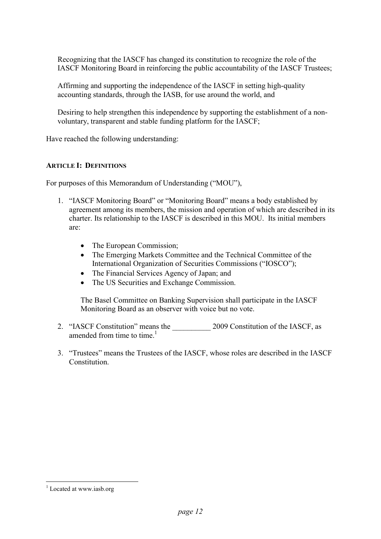Recognizing that the IASCF has changed its constitution to recognize the role of the IASCF Monitoring Board in reinforcing the public accountability of the IASCF Trustees;

Affirming and supporting the independence of the IASCF in setting high-quality accounting standards, through the IASB, for use around the world, and

Desiring to help strengthen this independence by supporting the establishment of a nonvoluntary, transparent and stable funding platform for the IASCF;

Have reached the following understanding:

## **ARTICLE I: DEFINITIONS**

For purposes of this Memorandum of Understanding ("MOU"),

- 1. "IASCF Monitoring Board" or "Monitoring Board" means a body established by agreement among its members, the mission and operation of which are described in its charter. Its relationship to the IASCF is described in this MOU. Its initial members are:
	- The European Commission;
	- The Emerging Markets Committee and the Technical Committee of the International Organization of Securities Commissions ("IOSCO");
	- The Financial Services Agency of Japan; and
	- The US Securities and Exchange Commission.

The Basel Committee on Banking Supervision shall participate in the IASCF Monitoring Board as an observer with voice but no vote.

- 2. "IASCF Constitution" means the 2009 Constitution of the IASCF, as amended from time to time.<sup>1</sup>
- 3. "Trustees" means the Trustees of the IASCF, whose roles are described in the IASCF **Constitution**

-

<sup>&</sup>lt;sup>1</sup> Located at www.iasb.org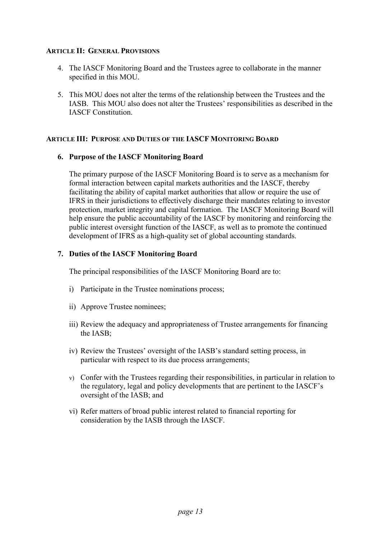## **ARTICLE II: GENERAL PROVISIONS**

- 4. The IASCF Monitoring Board and the Trustees agree to collaborate in the manner specified in this MOU.
- 5. This MOU does not alter the terms of the relationship between the Trustees and the IASB. This MOU also does not alter the Trustees' responsibilities as described in the IASCF Constitution.

# **ARTICLE III: PURPOSE AND DUTIES OF THE IASCF MONITORING BOARD**

## **6. Purpose of the IASCF Monitoring Board**

The primary purpose of the IASCF Monitoring Board is to serve as a mechanism for formal interaction between capital markets authorities and the IASCF, thereby facilitating the ability of capital market authorities that allow or require the use of IFRS in their jurisdictions to effectively discharge their mandates relating to investor protection, market integrity and capital formation. The IASCF Monitoring Board will help ensure the public accountability of the IASCF by monitoring and reinforcing the public interest oversight function of the IASCF, as well as to promote the continued development of IFRS as a high-quality set of global accounting standards.

## **7. Duties of the IASCF Monitoring Board**

The principal responsibilities of the IASCF Monitoring Board are to:

- i) Participate in the Trustee nominations process;
- ii) Approve Trustee nominees;
- iii) Review the adequacy and appropriateness of Trustee arrangements for financing the IASB;
- iv) Review the Trustees' oversight of the IASB's standard setting process, in particular with respect to its due process arrangements;
- v) Confer with the Trustees regarding their responsibilities, in particular in relation to the regulatory, legal and policy developments that are pertinent to the IASCF's oversight of the IASB; and
- vi) Refer matters of broad public interest related to financial reporting for consideration by the IASB through the IASCF.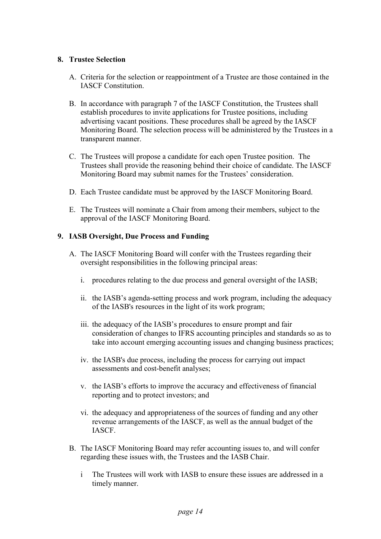# **8. Trustee Selection**

- A. Criteria for the selection or reappointment of a Trustee are those contained in the IASCF Constitution.
- B. In accordance with paragraph 7 of the IASCF Constitution, the Trustees shall establish procedures to invite applications for Trustee positions, including advertising vacant positions. These procedures shall be agreed by the IASCF Monitoring Board. The selection process will be administered by the Trustees in a transparent manner.
- C. The Trustees will propose a candidate for each open Trustee position. The Trustees shall provide the reasoning behind their choice of candidate. The IASCF Monitoring Board may submit names for the Trustees' consideration.
- D. Each Trustee candidate must be approved by the IASCF Monitoring Board.
- E. The Trustees will nominate a Chair from among their members, subject to the approval of the IASCF Monitoring Board.

# **9. IASB Oversight, Due Process and Funding**

- A. The IASCF Monitoring Board will confer with the Trustees regarding their oversight responsibilities in the following principal areas:
	- i. procedures relating to the due process and general oversight of the IASB;
	- ii. the IASB's agenda-setting process and work program, including the adequacy of the IASB's resources in the light of its work program;
	- iii. the adequacy of the IASB's procedures to ensure prompt and fair consideration of changes to IFRS accounting principles and standards so as to take into account emerging accounting issues and changing business practices;
	- iv. the IASB's due process, including the process for carrying out impact assessments and cost-benefit analyses;
	- v. the IASB's efforts to improve the accuracy and effectiveness of financial reporting and to protect investors; and
	- vi. the adequacy and appropriateness of the sources of funding and any other revenue arrangements of the IASCF, as well as the annual budget of the IASCF.
- B. The IASCF Monitoring Board may refer accounting issues to, and will confer regarding these issues with, the Trustees and the IASB Chair.
	- i The Trustees will work with IASB to ensure these issues are addressed in a timely manner.